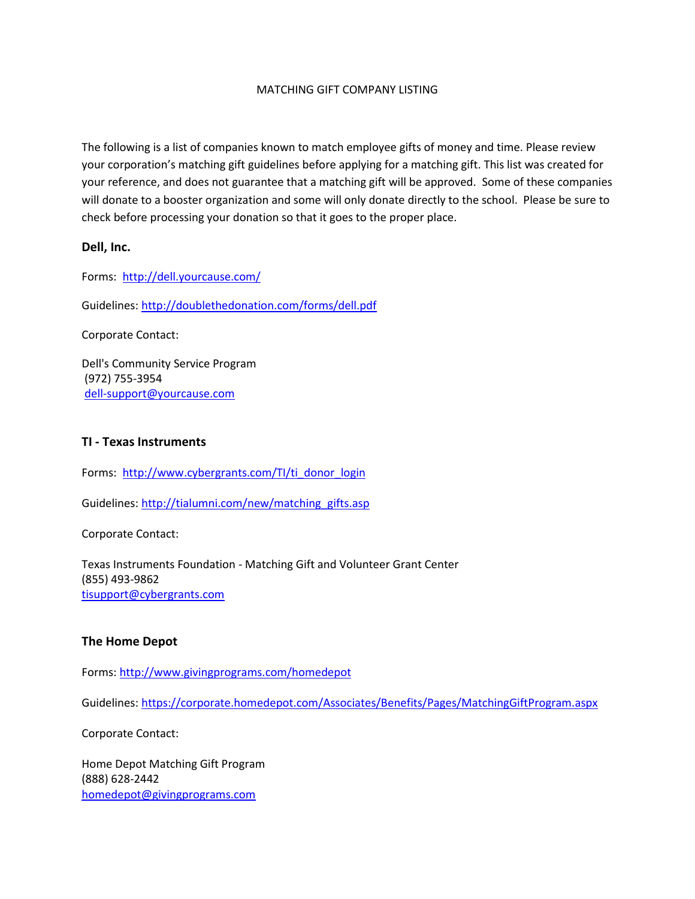### MATCHING GIFT COMPANY LISTING

The following is a list of companies known to match employee gifts of money and time. Please review your corporation's matching gift guidelines before applying for a matching gift. This list was created for your reference, and does not guarantee that a matching gift will be approved. Some of these companies will donate to a booster organization and some will only donate directly to the school. Please be sure to check before processing your donation so that it goes to the proper place.

### **Dell, Inc.**

Forms: <http://dell.yourcause.com/>

Guidelines[: http://doublethedonation.com/forms/dell.pdf](http://doublethedonation.com/forms/dell.pdf)

Corporate Contact:

Dell's Community Service Program (972) 755-3954 [dell-support@yourcause.com](mailto:dell-support@yourcause.com)

#### **TI - Texas Instruments**

Forms: [http://www.cybergrants.com/TI/ti\\_donor\\_login](http://www.cybergrants.com/TI/ti_donor_login)

Guidelines[: http://tialumni.com/new/matching\\_gifts.asp](http://tialumni.com/new/matching_gifts.asp)

Corporate Contact:

Texas Instruments Foundation - Matching Gift and Volunteer Grant Center (855) 493-9862 [tisupport@cybergrants.com](mailto:tisupport@cybergrants.com)

### **The Home Depot**

Forms: <http://www.givingprograms.com/homedepot>

Guidelines: <https://corporate.homedepot.com/Associates/Benefits/Pages/MatchingGiftProgram.aspx>

Corporate Contact:

Home Depot Matching Gift Program (888) 628-2442 [homedepot@givingprograms.com](mailto:homedepot@givingprograms.com)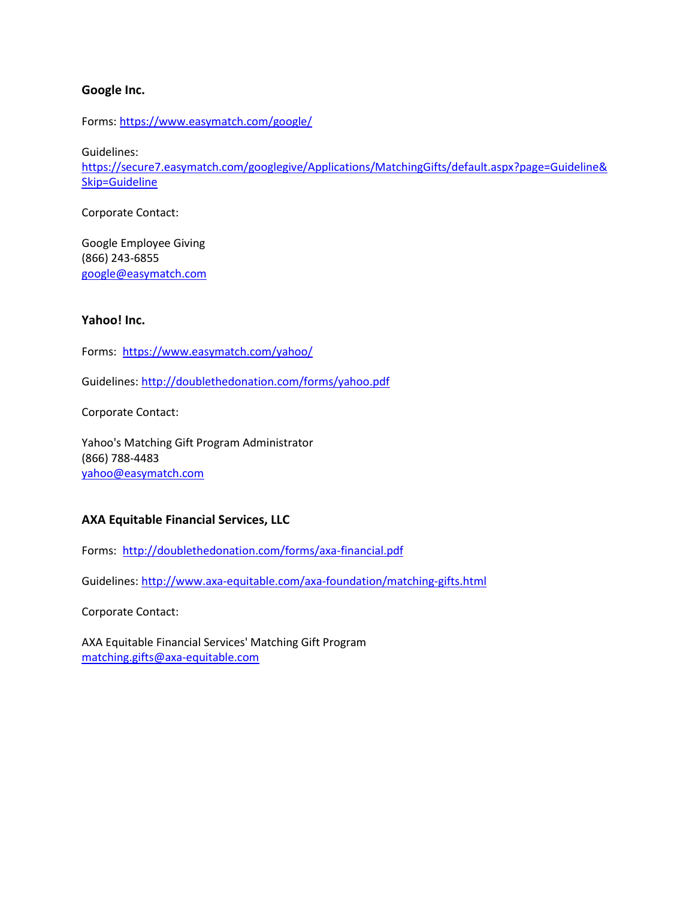## **Google Inc.**

Forms:<https://www.easymatch.com/google/>

Guidelines:

[https://secure7.easymatch.com/googlegive/Applications/MatchingGifts/default.aspx?page=Guideline&](https://secure7.easymatch.com/googlegive/Applications/MatchingGifts/default.aspx?page=Guideline&Skip=Guideline) [Skip=Guideline](https://secure7.easymatch.com/googlegive/Applications/MatchingGifts/default.aspx?page=Guideline&Skip=Guideline)

Corporate Contact:

Google Employee Giving (866) 243-6855 [google@easymatch.com](mailto:google@easymatch.com)

### **Yahoo! Inc.**

Forms: <https://www.easymatch.com/yahoo/>

Guidelines[: http://doublethedonation.com/forms/yahoo.pdf](http://doublethedonation.com/forms/yahoo.pdf)

Corporate Contact:

Yahoo's Matching Gift Program Administrator (866) 788-4483 [yahoo@easymatch.com](mailto:yahoo@easymatch.com)

## **AXA Equitable Financial Services, LLC**

Forms: <http://doublethedonation.com/forms/axa-financial.pdf>

Guidelines[: http://www.axa-equitable.com/axa-foundation/matching-gifts.html](http://www.axa-equitable.com/axa-foundation/matching-gifts.html)

Corporate Contact:

AXA Equitable Financial Services' Matching Gift Program [matching.gifts@axa-equitable.com](mailto:matching.gifts@axa-equitable.com)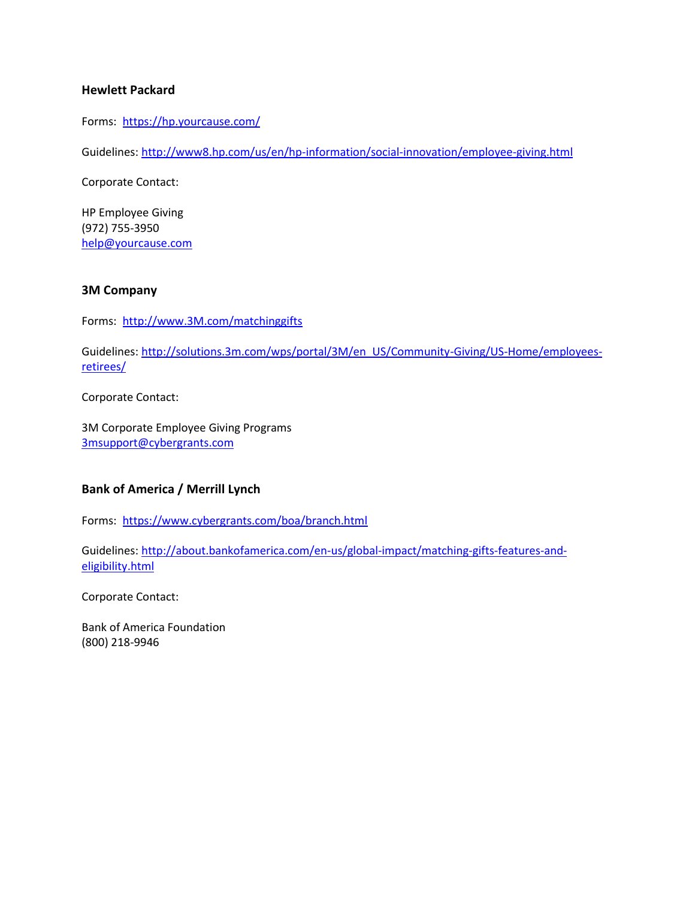## **Hewlett Packard**

Forms: <https://hp.yourcause.com/>

Guidelines[: http://www8.hp.com/us/en/hp-information/social-innovation/employee-giving.html](http://www8.hp.com/us/en/hp-information/social-innovation/employee-giving.html)

Corporate Contact:

HP Employee Giving (972) 755-3950 [help@yourcause.com](mailto:help@yourcause.com)

### **3M Company**

Forms: [http://www.3M.com/matchinggifts](http://www.3m.com/matchinggifts)

Guidelines[: http://solutions.3m.com/wps/portal/3M/en\\_US/Community-Giving/US-Home/employees](http://solutions.3m.com/wps/portal/3M/en_US/Community-Giving/US-Home/employees-retirees/)[retirees/](http://solutions.3m.com/wps/portal/3M/en_US/Community-Giving/US-Home/employees-retirees/)

Corporate Contact:

3M Corporate Employee Giving Programs [3msupport@cybergrants.com](mailto:3msupport@cybergrants.com)

## **Bank of America / Merrill Lynch**

Forms: <https://www.cybergrants.com/boa/branch.html>

Guidelines[: http://about.bankofamerica.com/en-us/global-impact/matching-gifts-features-and](http://about.bankofamerica.com/en-us/global-impact/matching-gifts-features-and-eligibility.html)[eligibility.html](http://about.bankofamerica.com/en-us/global-impact/matching-gifts-features-and-eligibility.html)

Corporate Contact:

Bank of America Foundation (800) 218-9946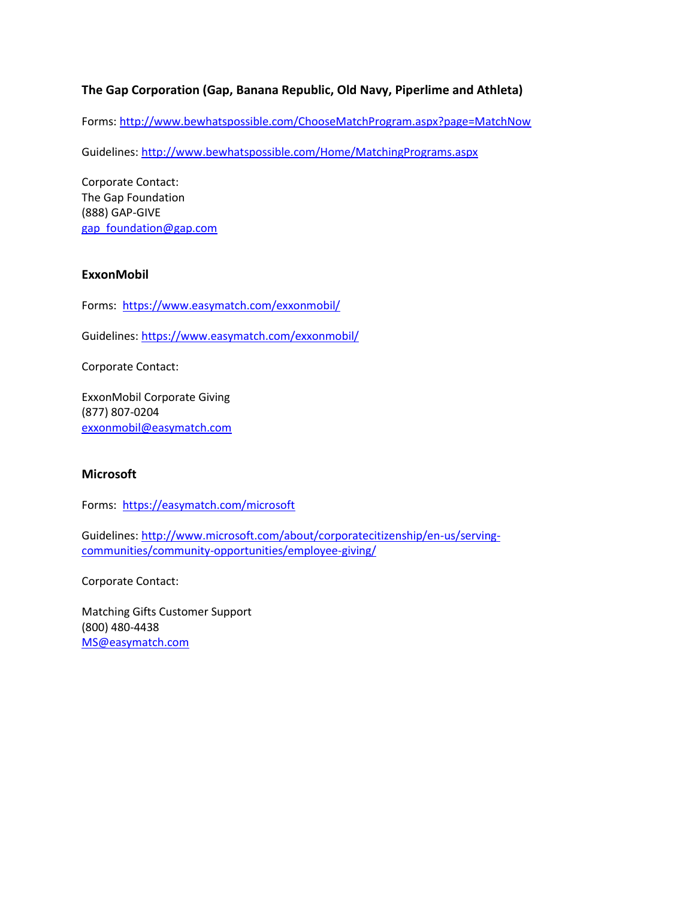# **The Gap Corporation (Gap, Banana Republic, Old Navy, Piperlime and Athleta)**

Forms: <http://www.bewhatspossible.com/ChooseMatchProgram.aspx?page=MatchNow>

Guidelines[: http://www.bewhatspossible.com/Home/MatchingPrograms.aspx](http://www.bewhatspossible.com/Home/MatchingPrograms.aspx)

Corporate Contact: The Gap Foundation (888) GAP-GIVE [gap\\_foundation@gap.com](mailto:gap_foundation@gap.com)

### **ExxonMobil**

Forms: <https://www.easymatch.com/exxonmobil/>

Guidelines[: https://www.easymatch.com/exxonmobil/](https://www.easymatch.com/exxonmobil/)

Corporate Contact:

ExxonMobil Corporate Giving (877) 807-0204 [exxonmobil@easymatch.com](mailto:exxonmobil@easymatch.com)

### **Microsoft**

Forms: <https://easymatch.com/microsoft>

Guidelines[: http://www.microsoft.com/about/corporatecitizenship/en-us/serving](http://www.microsoft.com/about/corporatecitizenship/en-us/serving-communities/community-opportunities/employee-giving/)[communities/community-opportunities/employee-giving/](http://www.microsoft.com/about/corporatecitizenship/en-us/serving-communities/community-opportunities/employee-giving/)

Corporate Contact:

Matching Gifts Customer Support (800) 480-4438 [MS@easymatch.com](mailto:MS@easymatch.com)